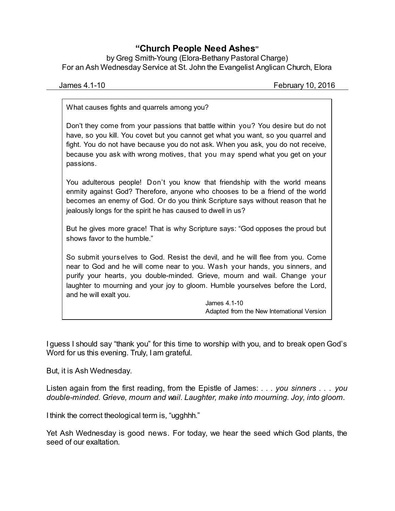## **"Church People Need Ashes"**

by Greg Smith-Young (Elora-Bethany Pastoral Charge) For an Ash Wednesday Service at St. John the Evangelist Anglican Church, Elora

James 4.1-10 February 10, 2016

What causes fights and quarrels among you?

Don't they come from your passions that battle within you? You desire but do not have, so you kill. You covet but you cannot get what you want, so you quarrel and fight. You do not have because you do not ask. When you ask, you do not receive, because you ask with wrong motives, that you may spend what you get on your passions.

You adulterous people! Don't you know that friendship with the world means enmity against God? Therefore, anyone who chooses to be a friend of the world becomes an enemy of God. Or do you think Scripture says without reason that he jealously longs for the spirit he has caused to dwell in us?

But he gives more grace! That is why Scripture says: "God opposes the proud but shows favor to the humble."

So submit yourselves to God. Resist the devil, and he will flee from you. Come near to God and he will come near to you. Wash your hands, you sinners, and purify your hearts, you double-minded. Grieve, mourn and wail. Change your laughter to mourning and your joy to gloom. Humble yourselves before the Lord, and he will exalt you.

> James 4.1-10 Adapted from the New International Version

I guess I should say "thank you" for this time to worship with you, and to break open God's Word for us this evening. Truly, I am grateful.

But, it is Ash Wednesday.

Listen again from the first reading, from the Epistle of James: *. . . you sinners . . . you double-minded. Grieve, mourn and wail. Laughter, make into mourning. Joy, into gloom.*

I think the correct theological term is, "ugghhh."

Yet Ash Wednesday is good news. For today, we hear the seed which God plants, the seed of our exaltation.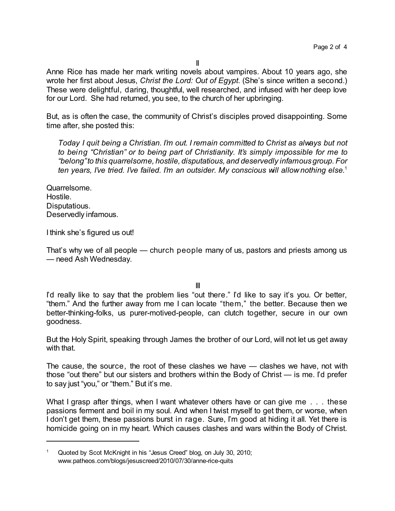II

Anne Rice has made her mark writing novels about vampires. About 10 years ago, she wrote her first about Jesus, *Christ the Lord: Out of Egypt*. (She's since written a second.) These were delightful, daring, thoughtful, well researched, and infused with her deep love for our Lord. She had returned, you see, to the church of her upbringing.

But, as is often the case, the community of Christ's disciples proved disappointing. Some time after, she posted this:

*Today I quit being a Christian. I'm out. I remain committed to Christ as always but not to being "Christian" or to being part of Christianity. It's simply impossible for me to "belong"to this quarrelsome, hostile, disputatious, and deservedly infamous group. For ten years, I've tried. I've failed. I'm an outsider. My conscious will allow nothing else.*<sup>1</sup>

Quarrelsome. Hostile. Disputatious. Deservedly infamous.

I think she's figured us out!

That's why we of all people — church people many of us, pastors and priests among us — need Ash Wednesday.

III

I'd really like to say that the problem lies "out there." I'd like to say it's you. Or better, "them." And the further away from me I can locate "them," the better. Because then we better-thinking-folks, us purer-motived-people, can clutch together, secure in our own goodness.

But the Holy Spirit, speaking through James the brother of our Lord, will not let us get away with that.

The cause, the source, the root of these clashes we have — clashes we have, not with those "out there" but our sisters and brothers within the Body of Christ — is me. I'd prefer to say just "you," or "them." But it's me.

What I grasp after things, when I want whatever others have or can give me . . . these passions ferment and boil in my soul. And when I twist myself to get them, or worse, when I don't get them, these passions burst in rage. Sure, I'm good at hiding it all. Yet there is homicide going on in my heart. Which causes clashes and wars within the Body of Christ.

Quoted by Scot McKnight in his "Jesus Creed" blog, on July 30, 2010; www.patheos.com/blogs/jesuscreed/2010/07/30/anne-rice-quits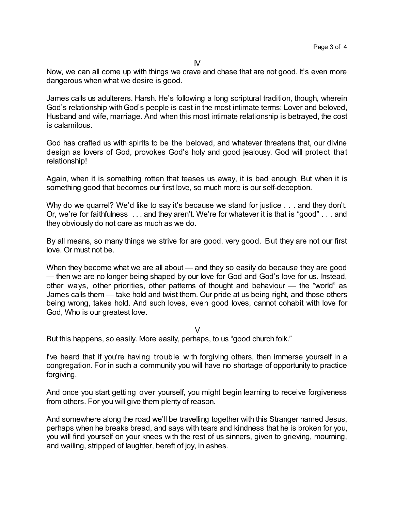Now, we can all come up with things we crave and chase that are not good. It's even more dangerous when what we desire is good.

James calls us adulterers. Harsh. He's following a long scriptural tradition, though, wherein God's relationship withGod's people is cast in the most intimate terms: Lover and beloved, Husband and wife, marriage. And when this most intimate relationship is betrayed, the cost is calamitous.

God has crafted us with spirits to be the beloved, and whatever threatens that, our divine design as lovers of God, provokes God's holy and good jealousy. God will protect that relationship!

Again, when it is something rotten that teases us away, it is bad enough. But when it is something good that becomes our first love, so much more is our self-deception.

Why do we quarrel? We'd like to say it's because we stand for justice . . . and they don't. Or, we're for faithfulness . . . and they aren't. We're for whatever it is that is "good" . . . and they obviously do not care as much as we do.

By all means, so many things we strive for are good, very good. But they are not our first love. Or must not be.

When they become what we are all about — and they so easily do because they are good — then we are no longer being shaped by our love for God and God's love for us. Instead, other ways, other priorities, other patterns of thought and behaviour — the "world" as James calls them — take hold and twist them. Our pride at us being right, and those others being wrong, takes hold. And such loves, even good loves, cannot cohabit with love for God, Who is our greatest love.

V

But this happens, so easily. More easily, perhaps, to us "good church folk."

I've heard that if you're having trouble with forgiving others, then immerse yourself in a congregation. For in such a community you will have no shortage of opportunity to practice forgiving.

And once you start getting over yourself, you might begin learning to receive forgiveness from others. For you will give them plenty of reason.

And somewhere along the road we'll be travelling together with this Stranger named Jesus, perhaps when he breaks bread, and says with tears and kindness that he is broken for you, you will find yourself on your knees with the rest of us sinners, given to grieving, mourning, and wailing, stripped of laughter, bereft of joy, in ashes.